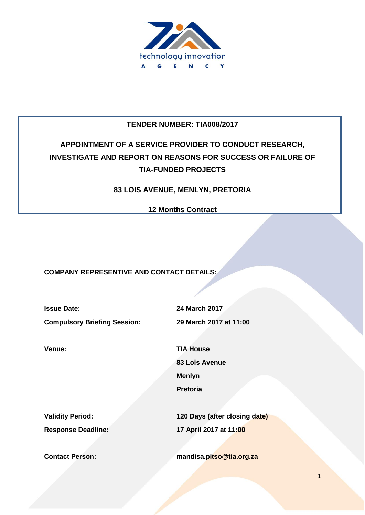

# **TENDER NUMBER: TIA008/2017**

# **APPOINTMENT OF A SERVICE PROVIDER TO CONDUCT RESEARCH, INVESTIGATE AND REPORT ON REASONS FOR SUCCESS OR FAILURE OF TIA-FUNDED PROJECTS**

# **83 LOIS AVENUE, MENLYN, PRETORIA**

**12 Months Contract**

COMPANY REPRESENTIVE AND CONTACT DETAILS:

**Issue Date: 24 March 2017**

**Compulsory Briefing Session: 29 March 2017 at 11:00**

**Venue: TIA House 83 Lois Avenue Menlyn Pretoria**

**Validity Period: 120 Days (after closing date) Response Deadline: 17 April 2017 at 11:00**

**Contact Person: mandisa.pitso@tia.org.za**

1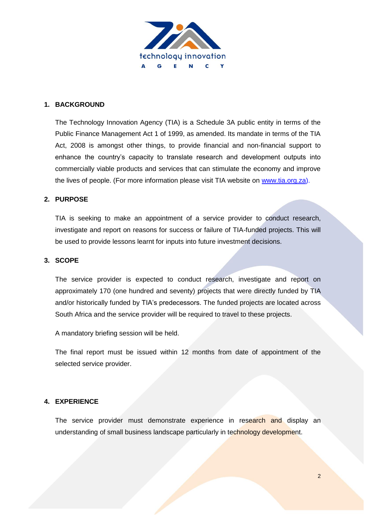

#### **1. BACKGROUND**

The Technology Innovation Agency (TIA) is a Schedule 3A public entity in terms of the Public Finance Management Act 1 of 1999, as amended. Its mandate in terms of the TIA Act, 2008 is amongst other things, to provide financial and non-financial support to enhance the country's capacity to translate research and development outputs into commercially viable products and services that can stimulate the economy and improve the lives of people. (For more information please visit TIA website on [www.tia.org.za\)](http://www.tia.org.za/).

#### **2. PURPOSE**

TIA is seeking to make an appointment of a service provider to conduct research, investigate and report on reasons for success or failure of TIA-funded projects. This will be used to provide lessons learnt for inputs into future investment decisions.

#### **3. SCOPE**

The service provider is expected to conduct research, investigate and report on approximately 170 (one hundred and seventy) projects that were directly funded by TIA and/or historically funded by TIA's predecessors. The funded projects are located across South Africa and the service provider will be required to travel to these projects.

A mandatory briefing session will be held.

The final report must be issued within 12 months from date of appointment of the selected service provider.

#### **4. EXPERIENCE**

The service provider must demonstrate experience in research and display an understanding of small business landscape particularly in technology development.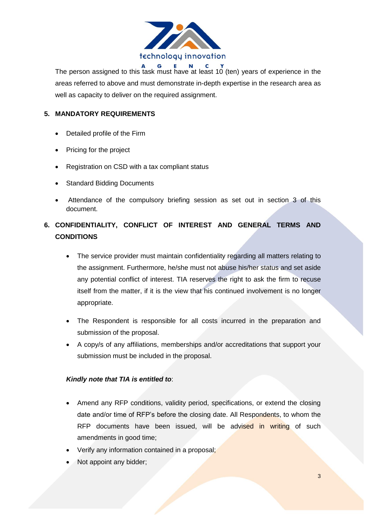

The person assigned to this task must have at least 10 (ten) years of experience in the areas referred to above and must demonstrate in-depth expertise in the research area as well as capacity to deliver on the required assignment.

# **5. MANDATORY REQUIREMENTS**

- Detailed profile of the Firm
- Pricing for the project
- Registration on CSD with a tax compliant status
- **Standard Bidding Documents**
- Attendance of the compulsory briefing session as set out in section 3 of this document.

# **6. CONFIDENTIALITY, CONFLICT OF INTEREST AND GENERAL TERMS AND CONDITIONS**

- The service provider must maintain confidentiality regarding all matters relating to the assignment. Furthermore, he/she must not abuse his/her status and set aside any potential conflict of interest. TIA reserves the right to ask the firm to recuse itself from the matter, if it is the view that his continued involvement is no longer appropriate.
- The Respondent is responsible for all costs incurred in the preparation and submission of the proposal.
- A copy/s of any affiliations, memberships and/or accreditations that support your submission must be included in the proposal.

# *Kindly note that TIA is entitled to*:

- Amend any RFP conditions, validity period, specifications, or extend the closing date and/or time of RFP's before the closing date. All Respondents, to whom the RFP documents have been issued, will be advised in writing of such amendments in good time;
- Verify any information contained in a proposal;
- Not appoint any bidder: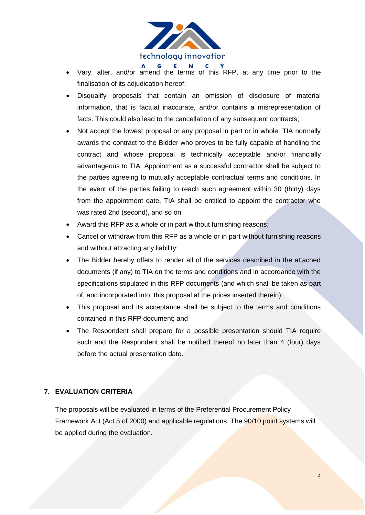

- Vary, alter, and/or amend the terms of this RFP, at any time prior to the finalisation of its adjudication hereof;
- Disqualify proposals that contain an omission of disclosure of material information, that is factual inaccurate, and/or contains a misrepresentation of facts. This could also lead to the cancellation of any subsequent contracts;
- Not accept the lowest proposal or any proposal in part or in whole. TIA normally awards the contract to the Bidder who proves to be fully capable of handling the contract and whose proposal is technically acceptable and/or financially advantageous to TIA. Appointment as a successful contractor shall be subject to the parties agreeing to mutually acceptable contractual terms and conditions. In the event of the parties failing to reach such agreement within 30 (thirty) days from the appointment date, TIA shall be entitled to appoint the contractor who was rated 2nd (second), and so on;
- Award this RFP as a whole or in part without furnishing reasons;
- Cancel or withdraw from this RFP as a whole or in part without furnishing reasons and without attracting any liability;
- The Bidder hereby offers to render all of the services described in the attached documents (if any) to TIA on the terms and conditions and in accordance with the specifications stipulated in this RFP documents (and which shall be taken as part of, and incorporated into, this proposal at the prices inserted therein);
- This proposal and its acceptance shall be subject to the terms and conditions contained in this RFP document; and
- The Respondent shall prepare for a possible presentation should TIA require such and the Respondent shall be notified thereof no later than 4 (four) days before the actual presentation date.

# **7. EVALUATION CRITERIA**

The proposals will be evaluated in terms of the Preferential Procurement Policy Framework Act (Act 5 of 2000) and applicable regulations. The 90/10 point systems will be applied during the evaluation.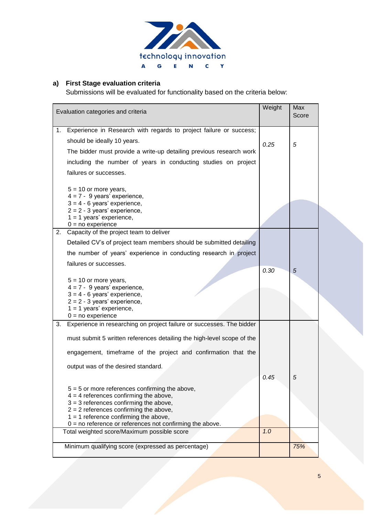

# **a) First Stage evaluation criteria**

Submissions will be evaluated for functionality based on the criteria below:

| Evaluation categories and criteria                                                   |      | Max<br>Score |
|--------------------------------------------------------------------------------------|------|--------------|
| Experience in Research with regards to project failure or success;<br>1.             |      |              |
| should be ideally 10 years.                                                          | 0.25 | 5            |
| The bidder must provide a write-up detailing previous research work                  |      |              |
| including the number of years in conducting studies on project                       |      |              |
| failures or successes.                                                               |      |              |
| $5 = 10$ or more years,                                                              |      |              |
| $4 = 7 - 9$ years' experience,<br>$3 = 4 - 6$ years' experience,                     |      |              |
| $2 = 2 - 3$ years' experience,                                                       |      |              |
| $1 = 1$ years' experience,                                                           |      |              |
| $0 = no$ experience<br>Capacity of the project team to deliver<br>2.                 |      |              |
| Detailed CV's of project team members should be submitted detailing                  |      |              |
| the number of years' experience in conducting research in project                    |      |              |
|                                                                                      |      |              |
| failures or successes.                                                               | 0.30 | 5            |
| $5 = 10$ or more years,                                                              |      |              |
| $4 = 7 - 9$ years' experience,                                                       |      |              |
| $3 = 4 - 6$ years' experience,<br>$2 = 2 - 3$ years' experience,                     |      |              |
| $1 = 1$ years' experience,                                                           |      |              |
| $0 = no$ experience                                                                  |      |              |
| Experience in researching on project failure or successes. The bidder<br>3.          |      |              |
| must submit 5 written references detailing the high-level scope of the               |      |              |
| engagement, timeframe of the project and confirmation that the                       |      |              |
| output was of the desired standard.                                                  |      |              |
|                                                                                      | 0.45 |              |
| $5 = 5$ or more references confirming the above,                                     |      |              |
| $4 = 4$ references confirming the above,<br>$3 = 3$ references confirming the above, |      |              |
| $2 = 2$ references confirming the above,                                             |      |              |
| $1 = 1$ reference confirming the above,                                              |      |              |
| $0 = no$ reference or references not confirming the above.                           | 1.0  |              |
| Total weighted score/Maximum possible score                                          |      |              |
| Minimum qualifying score (expressed as percentage)                                   |      | 75%          |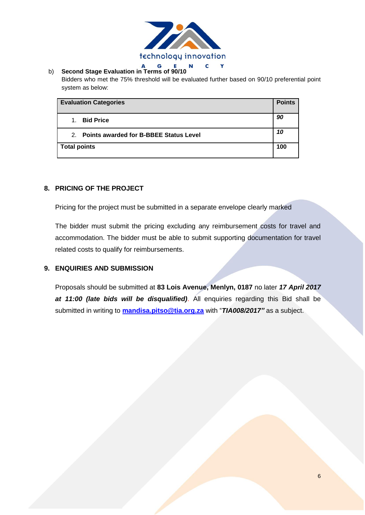

# b) **Second Stage Evaluation in Terms of 90/10**

Bidders who met the 75% threshold will be evaluated further based on 90/10 preferential point system as below:

| <b>Evaluation Categories</b>              |     | <b>Points</b> |
|-------------------------------------------|-----|---------------|
| <b>Bid Price</b><br>1.                    | 90  |               |
| 2. Points awarded for B-BBEE Status Level | 10  |               |
| <b>Total points</b>                       | 100 |               |

#### **8. PRICING OF THE PROJECT**

Pricing for the project must be submitted in a separate envelope clearly marked

The bidder must submit the pricing excluding any reimbursement costs for travel and accommodation. The bidder must be able to submit supporting documentation for travel related costs to qualify for reimbursements.

#### **9. ENQUIRIES AND SUBMISSION**

Proposals should be submitted at **83 Lois Avenue, Menlyn, 0187** no later *17 April 2017 at 11:00 (late bids will be disqualified)*. All enquiries regarding this Bid shall be submitted in writing to **[mandisa.pitso@tia.org.za](mailto:mandisa.pitso@tia.org.za)** with "*TIA008/2017"* as a subject.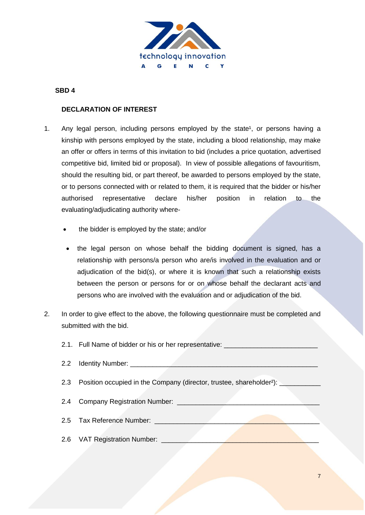

## **DECLARATION OF INTEREST**

- 1. Any legal person, including persons employed by the state<sup>1</sup>, or persons having a kinship with persons employed by the state, including a blood relationship, may make an offer or offers in terms of this invitation to bid (includes a price quotation, advertised competitive bid, limited bid or proposal). In view of possible allegations of favouritism, should the resulting bid, or part thereof, be awarded to persons employed by the state, or to persons connected with or related to them, it is required that the bidder or his/her authorised representative declare his/her position in relation to the evaluating/adjudicating authority where-
	- the bidder is employed by the state; and/or
	- the legal person on whose behalf the bidding document is signed, has a relationship with persons/a person who are/is involved in the evaluation and or adjudication of the bid(s), or where it is known that such a relationship exists between the person or persons for or on whose behalf the declarant acts and persons who are involved with the evaluation and or adjudication of the bid.
- 2. In order to give effect to the above, the following questionnaire must be completed and submitted with the bid.
	- 2.1. Full Name of bidder or his or her representative:
	- 2.2 Identity Number:
	- 2.3 Position occupied in the Company (director, trustee, shareholder<sup>2</sup>):
	- 2.4 Company Registration Number:
	- 2.5 Tax Reference Number: \_\_\_\_\_\_\_\_\_\_\_\_\_\_\_\_\_\_\_\_\_\_\_\_\_\_\_\_\_\_\_\_\_\_\_\_\_\_\_\_\_\_\_\_
	- 2.6 VAT Registration Number: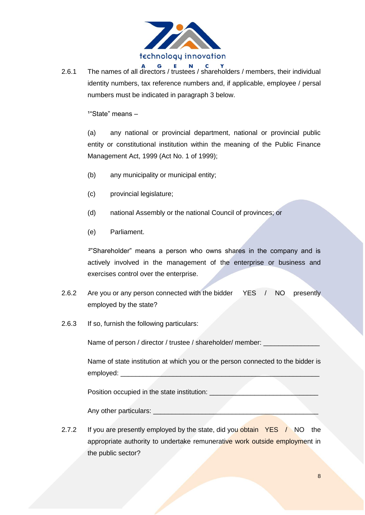

2.6.1 The names of all directors / trustees / shareholders / members, their individual identity numbers, tax reference numbers and, if applicable, employee / persal numbers must be indicated in paragraph 3 below.

 $1"$ State" means  $-$ 

(a) any national or provincial department, national or provincial public entity or constitutional institution within the meaning of the Public Finance Management Act, 1999 (Act No. 1 of 1999);

- (b) any municipality or municipal entity;
- (c) provincial legislature;
- (d) national Assembly or the national Council of provinces; or
- (e) Parliament.

²"Shareholder" means a person who owns shares in the company and is actively involved in the management of the enterprise or business and exercises control over the enterprise.

- 2.6.2 Are you or any person connected with the bidder YES / NO presently employed by the state?
- 2.6.3 If so, furnish the following particulars:

Name of person / director / trustee / shareholder/ member: \_\_\_\_\_\_\_\_\_\_\_\_\_\_\_\_\_\_\_\_\_

Name of state institution at which you or the person connected to the bidder is employed: \_\_\_\_\_\_\_\_\_\_\_\_\_\_\_\_\_\_\_\_\_\_\_\_\_\_\_\_\_\_\_\_\_\_\_\_\_\_\_\_\_\_\_\_\_\_\_\_\_\_\_\_\_

Position occupied in the state institution:

Any other particulars:

2.7.2 If you are presently employed by the state, did you obtain YES / NO the appropriate authority to undertake remunerative work outside employment in the public sector?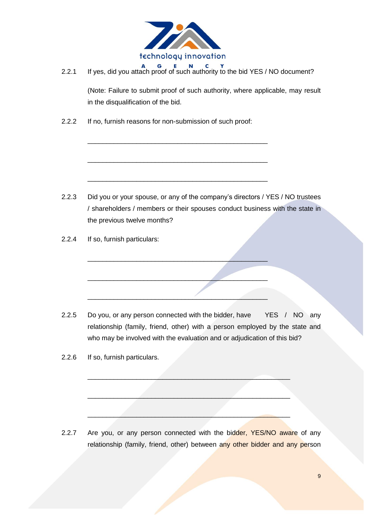

\_\_\_\_\_\_\_\_\_\_\_\_\_\_\_\_\_\_\_\_\_\_\_\_\_\_\_\_\_\_\_\_\_\_\_\_\_\_\_\_\_\_\_\_\_\_\_\_

\_\_\_\_\_\_\_\_\_\_\_\_\_\_\_\_\_\_\_\_\_\_\_\_\_\_\_\_\_\_\_\_\_\_\_\_\_\_\_\_\_\_\_\_\_\_\_\_

\_\_\_\_\_\_\_\_\_\_\_\_\_\_\_\_\_\_\_\_\_\_\_\_\_\_\_\_\_\_\_\_\_\_\_\_\_\_\_\_\_\_\_\_\_\_\_\_

\_\_\_\_\_\_\_\_\_\_\_\_\_\_\_\_\_\_\_\_\_\_\_\_\_\_\_\_\_\_\_\_\_\_\_\_\_\_\_\_\_\_\_\_\_\_\_\_

 $\overline{\phantom{a}}$  , where the contract of the contract of the contract of the contract of the contract of the contract of the contract of the contract of the contract of the contract of the contract of the contract of the contr

 $\overline{\phantom{a}}$ 

2.2.1 If yes, did you attach proof of such authority to the bid YES / NO document?

(Note: Failure to submit proof of such authority, where applicable, may result in the disqualification of the bid.

2.2.2 If no, furnish reasons for non-submission of such proof:

- 2.2.3 Did you or your spouse, or any of the company's directors / YES / NO trustees / shareholders / members or their spouses conduct business with the state in the previous twelve months?
- 2.2.4 If so, furnish particulars:

2.2.5 Do you, or any person connected with the bidder, have YES / NO any relationship (family, friend, other) with a person employed by the state and who may be involved with the evaluation and or adjudication of this bid?

 $\overline{\phantom{a}}$  , and the contract of the contract of the contract of the contract of the contract of the contract of the contract of the contract of the contract of the contract of the contract of the contract of the contrac

\_\_\_\_\_\_\_\_\_\_\_\_\_\_\_\_\_\_\_\_\_\_\_\_\_\_\_\_\_\_\_\_\_\_\_\_\_\_\_\_\_\_\_\_\_\_\_\_\_\_\_\_\_\_

 $\frac{1}{2}$  , and the set of the set of the set of the set of the set of the set of the set of the set of the set of the set of the set of the set of the set of the set of the set of the set of the set of the set of the set

2.2.6 If so, furnish particulars.

2.2.7 Are you, or any person connected with the bidder, YES/NO aware of any relationship (family, friend, other) between any other bidder and any person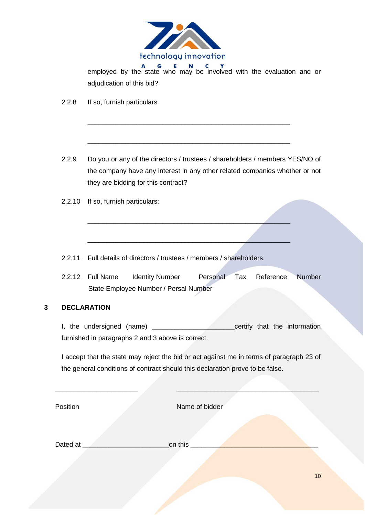

employed by the state who may be involved with the evaluation and or adjudication of this bid?

2.2.8 If so, furnish particulars

2.2.9 Do you or any of the directors / trustees / shareholders / members YES/NO of the company have any interest in any other related companies whether or not they are bidding for this contract?

\_\_\_\_\_\_\_\_\_\_\_\_\_\_\_\_\_\_\_\_\_\_\_\_\_\_\_\_\_\_\_\_\_\_\_\_\_\_\_\_\_\_\_\_\_\_\_\_\_\_\_\_\_\_

\_\_\_\_\_\_\_\_\_\_\_\_\_\_\_\_\_\_\_\_\_\_\_\_\_\_\_\_\_\_\_\_\_\_\_\_\_\_\_\_\_\_\_\_\_\_\_\_\_\_\_\_\_\_

\_\_\_\_\_\_\_\_\_\_\_\_\_\_\_\_\_\_\_\_\_\_\_\_\_\_\_\_\_\_\_\_\_\_\_\_\_\_\_\_\_\_\_\_\_\_\_\_\_\_\_\_\_\_

\_\_\_\_\_\_\_\_\_\_\_\_\_\_\_\_\_\_\_\_\_\_\_\_\_\_\_\_\_\_\_\_\_\_\_\_\_\_\_\_\_\_\_\_\_\_\_\_\_\_\_\_\_\_

- 2.2.10 If so, furnish particulars:
- 2.2.11 Full details of directors / trustees / members / shareholders.
- 2.2.12 Full Name Identity Number Personal Tax Reference Number State Employee Number / Persal Number

# **3 DECLARATION**

I, the undersigned (name) \_\_\_\_\_\_\_\_\_\_\_\_\_\_\_\_\_\_\_\_\_\_certify that the information furnished in paragraphs 2 and 3 above is correct.

I accept that the state may reject the bid or act against me in terms of paragraph 23 of the general conditions of contract should this declaration prove to be false.

| Position | Name of bidder |  |
|----------|----------------|--|
| Dated at | on this        |  |

\_\_\_\_\_\_\_\_\_\_\_\_\_\_\_\_\_\_\_\_\_\_ \_\_\_\_\_\_\_\_\_\_\_\_\_\_\_\_\_\_\_\_\_\_\_\_\_\_\_\_\_\_\_\_\_\_\_\_\_\_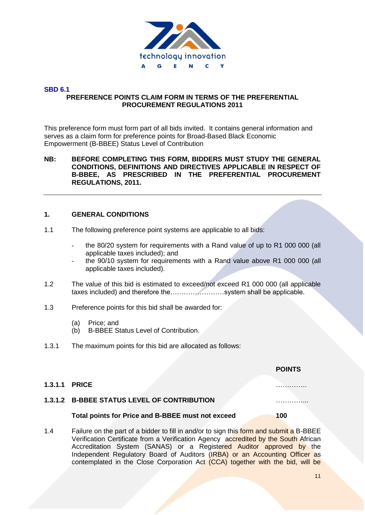

#### **SBD 6.1 PREFERENCE POINTS CLAIM FORM IN TERMS OF THE PREFERENTIAL PROCUREMENT REGULATIONS 2011**

This preference form must form part of all bids invited. It contains general information and serves as a claim form for preference points for Broad-Based Black Economic Empowerment (B-BBEE) Status Level of Contribution

#### **NB: BEFORE COMPLETING THIS FORM, BIDDERS MUST STUDY THE GENERAL CONDITIONS, DEFINITIONS AND DIRECTIVES APPLICABLE IN RESPECT OF B-BBEE, AS PRESCRIBED IN THE PREFERENTIAL PROCUREMENT REGULATIONS, 2011.**

## **1. GENERAL CONDITIONS**

- 1.1 The following preference point systems are applicable to all bids:
	- the 80/20 system for requirements with a Rand value of up to R1 000 000 (all applicable taxes included); and
	- the 90/10 system for requirements with a Rand value above R1 000 000 (all applicable taxes included).
- 1.2 The value of this bid is estimated to exceed/not exceed R1 000 000 (all applicable taxes included) and therefore the……………………system shall be applicable.
- 1.3 Preference points for this bid shall be awarded for:
	- (a) Price; and
	- (b) B-BBEE Status Level of Contribution.
- 1.3.1 The maximum points for this bid are allocated as follows:

#### **POINTS**

#### **1.3.1.1 PRICE** …………..

#### **1.3.1.2 B-BBEE STATUS LEVEL OF CONTRIBUTION** …………...

#### **Total points for Price and B-BBEE must not exceed 100**

1.4 Failure on the part of a bidder to fill in and/or to sign this form and submit a B-BBEE Verification Certificate from a Verification Agency accredited by the South African Accreditation System (SANAS) or a Registered Auditor approved by the Independent Regulatory Board of Auditors (IRBA) or an Accounting Officer as contemplated in the Close Corporation Act (CCA) together with the bid, will be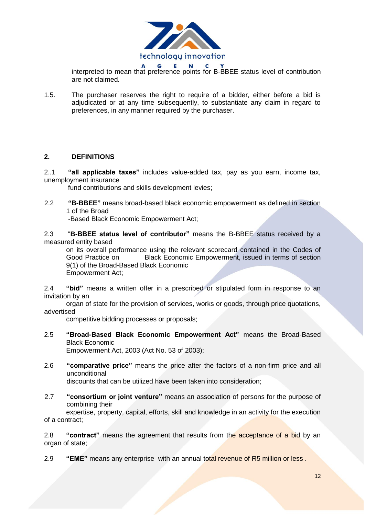

interpreted to mean that preference points for B-BBEE status level of contribution are not claimed.

1.5. The purchaser reserves the right to require of a bidder, either before a bid is adjudicated or at any time subsequently, to substantiate any claim in regard to preferences, in any manner required by the purchaser.

#### **2. DEFINITIONS**

2..1 **"all applicable taxes"** includes value-added tax, pay as you earn, income tax, unemployment insurance

fund contributions and skills development levies;

2.2 **"B-BBEE"** means broad-based black economic empowerment as defined in section 1 of the Broad

-Based Black Economic Empowerment Act;

2.3 "**B-BBEE status level of contributor"** means the B-BBEE status received by a measured entity based

on its overall performance using the relevant scorecard contained in the Codes of Good Practice on Black Economic Empowerment, issued in terms of section 9(1) of the Broad-Based Black Economic Empowerment Act;

2.4 **"bid"** means a written offer in a prescribed or stipulated form in response to an invitation by an

organ of state for the provision of services, works or goods, through price quotations, advertised

competitive bidding processes or proposals;

- 2.5 **"Broad-Based Black Economic Empowerment Act"** means the Broad-Based Black Economic Empowerment Act, 2003 (Act No. 53 of 2003);
- 2.6 **"comparative price"** means the price after the factors of a non-firm price and all unconditional discounts that can be utilized have been taken into consideration;
- 2.7 **"consortium or joint venture"** means an association of persons for the purpose of combining their

expertise, property, capital, efforts, skill and knowledge in an activity for the execution of a contract;

2.8 **"contract"** means the agreement that results from the acceptance of a bid by an organ of state;

2.9 **"EME"** means any enterprise with an annual total revenue of R5 million or less .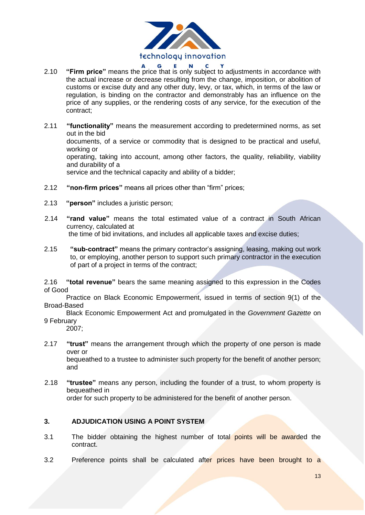

- **2.10 "Firm price"** means the price that is only subject to adjustments in accordance with the actual increase or decrease resulting from the change, imposition, or abolition of customs or excise duty and any other duty, levy, or tax, which, in terms of the law or regulation, is binding on the contractor and demonstrably has an influence on the price of any supplies, or the rendering costs of any service, for the execution of the contract;
- 2.11 **"functionality"** means the measurement according to predetermined norms, as set out in the bid documents, of a service or commodity that is designed to be practical and useful, working or operating, taking into account, among other factors, the quality, reliability, viability and durability of a service and the technical capacity and ability of a bidder;
- 2.12 **"non-firm prices"** means all prices other than "firm" prices;
- 2.13 **"person"** includes a juristic person;
- 2.14 **"rand value"** means the total estimated value of a contract in South African currency, calculated at the time of bid invitations, and includes all applicable taxes and excise duties;
- 2.15 **"sub-contract"** means the primary contractor's assigning, leasing, making out work to, or employing, another person to support such primary contractor in the execution of part of a project in terms of the contract;

2.16 **"total revenue"** bears the same meaning assigned to this expression in the Codes of Good

 Practice on Black Economic Empowerment, issued in terms of section 9(1) of the Broad-Based

 Black Economic Empowerment Act and promulgated in the *Government Gazette* on 9 February

2007;

- 2.17 **"trust"** means the arrangement through which the property of one person is made over or bequeathed to a trustee to administer such property for the benefit of another person; and
- 2.18 **"trustee"** means any person, including the founder of a trust, to whom property is bequeathed in order for such property to be administered for the benefit of another person.

# **3. ADJUDICATION USING A POINT SYSTEM**

- 3.1 The bidder obtaining the highest number of total points will be awarded the contract.
- 3.2 Preference points shall be calculated after prices have been brought to a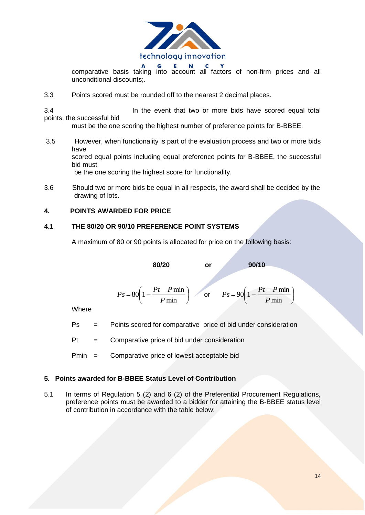

comparative basis taking into account all factors of non-firm prices and all unconditional discounts;.

3.3 Points scored must be rounded off to the nearest 2 decimal places.

3.4 In the event that two or more bids have scored equal total points, the successful bid

must be the one scoring the highest number of preference points for B-BBEE.

- 3.5 However, when functionality is part of the evaluation process and two or more bids have scored equal points including equal preference points for B-BBEE, the successful bid must be the one scoring the highest score for functionality.
- 3.6 Should two or more bids be equal in all respects, the award shall be decided by the drawing of lots.

# **4. POINTS AWARDED FOR PRICE**

## **4.1 THE 80/20 OR 90/10 PREFERENCE POINT SYSTEMS**

A maximum of 80 or 90 points is allocated for price on the following basis:

**80/20 or 90/10**

$$
Ps = 80 \left( 1 - \frac{Pt - P \min P}{ \min P} \right) \qquad \text{or} \qquad Ps = 90 \left( 1 - \frac{Pt - P \min P}{ \min P} \right)
$$

**Where** 

- Ps = Points scored for comparative price of bid under consideration
- $Pt =$  Comparative price of bid under consideration

Pmin = Comparative price of lowest acceptable bid

#### **5. Points awarded for B-BBEE Status Level of Contribution**

5.1 In terms of Regulation 5 (2) and 6 (2) of the Preferential Procurement Regulations, preference points must be awarded to a bidder for attaining the B-BBEE status level of contribution in accordance with the table below: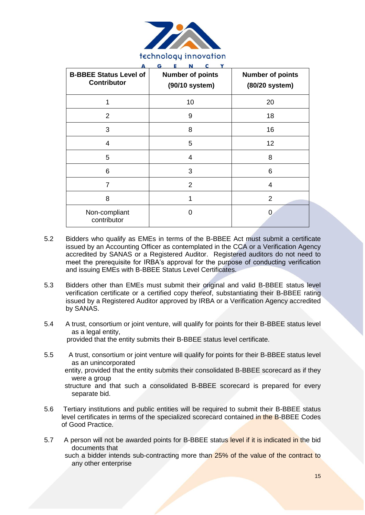

| <b>B-BBEE Status Level of</b><br><b>Contributor</b> | G<br><b>Number of points</b><br>(90/10 system) | <b>Number of points</b><br>(80/20 system) |
|-----------------------------------------------------|------------------------------------------------|-------------------------------------------|
|                                                     | 10                                             | 20                                        |
| $\overline{2}$                                      | 9                                              | 18                                        |
| 3                                                   | 8                                              | 16                                        |
| $\overline{4}$                                      | 5                                              | 12                                        |
| 5                                                   | 4                                              | 8                                         |
| 6                                                   | 3                                              | 6                                         |
| 7                                                   | $\overline{2}$                                 | 4                                         |
| 8                                                   |                                                | $\overline{2}$                            |
| Non-compliant<br>contributor                        | 0                                              | 0                                         |

- 5.2 Bidders who qualify as EMEs in terms of the B-BBEE Act must submit a certificate issued by an Accounting Officer as contemplated in the CCA or a Verification Agency accredited by SANAS or a Registered Auditor. Registered auditors do not need to meet the prerequisite for IRBA's approval for the purpose of conducting verification and issuing EMEs with B-BBEE Status Level Certificates.
- 5.3 Bidders other than EMEs must submit their original and valid B-BBEE status level verification certificate or a certified copy thereof, substantiating their B-BBEE rating issued by a Registered Auditor approved by IRBA or a Verification Agency accredited by SANAS.
- 5.4 A trust, consortium or joint venture, will qualify for points for their B-BBEE status level as a legal entity, provided that the entity submits their B-BBEE status level certificate.
- 5.5 A trust, consortium or joint venture will qualify for points for their B-BBEE status level as an unincorporated

 entity, provided that the entity submits their consolidated B-BBEE scorecard as if they were a group

 structure and that such a consolidated B-BBEE scorecard is prepared for every separate bid.

- 5.6 Tertiary institutions and public entities will be required to submit their B-BBEE status level certificates in terms of the specialized scorecard contained in the B-BBEE Codes of Good Practice.
- 5.7 A person will not be awarded points for B-BBEE status level if it is indicated in the bid documents that

such a bidder intends sub-contracting more than 25% of the value of the contract to any other enterprise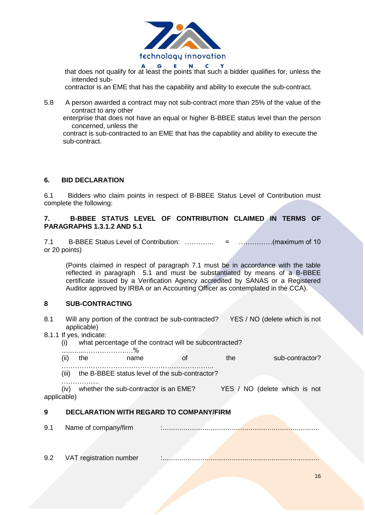

 that does not qualify for at least the points that such a bidder qualifies for, unless the intended sub-

contractor is an EME that has the capability and ability to execute the sub-contract.

5.8 A person awarded a contract may not sub-contract more than 25% of the value of the contract to any other

 enterprise that does not have an equal or higher B-BBEE status level than the person concerned, unless the

 contract is sub-contracted to an EME that has the capability and ability to execute the sub-contract.

## **6. BID DECLARATION**

6.1 Bidders who claim points in respect of B-BBEE Status Level of Contribution must complete the following:

#### **7. B-BBEE STATUS LEVEL OF CONTRIBUTION CLAIMED IN TERMS OF PARAGRAPHS 1.3.1.2 AND 5.1**

7.1 B-BBEE Status Level of Contribution: …………. = ……………(maximum of 10 or 20 points)

(Points claimed in respect of paragraph 7.1 must be in accordance with the table reflected in paragraph 5.1 and must be substantiated by means of a B-BBEE certificate issued by a Verification Agency accredited by SANAS or a Registered Auditor approved by IRBA or an Accounting Officer as contemplated in the CCA).

#### **8 SUB-CONTRACTING**

- 8.1 Will any portion of the contract be sub-contracted? YES / NO (delete which is not applicable)
- 8.1.1 If yes, indicate:

(i) what percentage of the contract will be subcontracted?

............……………….…% (ii) the name of the sub-contractor? ………………………………………………………….. (iii) the B-BBEE status level of the sub-contractor? …………….. (iv) whether the sub-contractor is an EME? YES / NO (delete which is not

applicable)

#### **9 DECLARATION WITH REGARD TO COMPANY/FIRM**

9.1 Name of company/firm :..................................................................................

9.2 VAT registration number :..................................................................................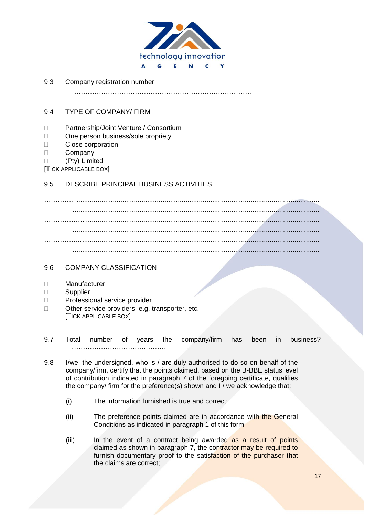

9.3 Company registration number

…………………………………………………………………….

## 9.4 TYPE OF COMPANY/ FIRM

- D Partnership/Joint Venture / Consortium
- □ One person business/sole propriety
- D Close corporation
- D Company
- (Pty) Limited
- [TICK APPLICABLE BOX]

# 9.5 DESCRIBE PRINCIPAL BUSINESS ACTIVITIES

………….. ............................................................................................................................... ................................................................................................................................. ……………… .......................................................................................................................... ................................................................................................................................. …………….............................................................................................................................. .................................................................................................................................

#### 9.6 COMPANY CLASSIFICATION

- Manufacturer
- Supplier
- □ Professional service provider
- $\Box$  Other service providers, e.g. transporter, etc. [TICK APPLICABLE BOX]
- 9.7 Total number of years the company/firm has been in business? ……………………………………
- 9.8 I/we, the undersigned, who is / are duly authorised to do so on behalf of the company/firm, certify that the points claimed, based on the B-BBE status level of contribution indicated in paragraph 7 of the foregoing certificate, qualifies the company/ firm for the preference(s) shown and I / we acknowledge that:
	- (i) The information furnished is true and correct;
	- (ii) The preference points claimed are in accordance with the General Conditions as indicated in paragraph 1 of this form.
	- (iii) In the event of a contract being awarded as a result of points claimed as shown in paragraph 7, the contractor may be required to furnish documentary proof to the satisfaction of the purchaser that the claims are correct;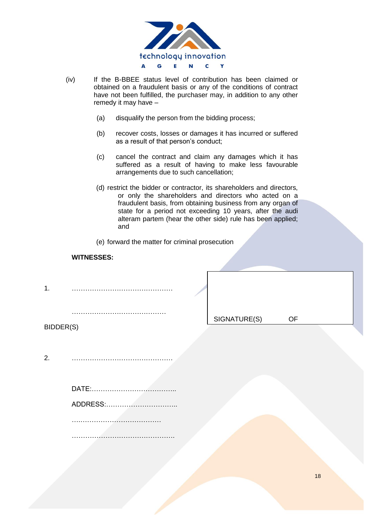

- (iv) If the B-BBEE status level of contribution has been claimed or obtained on a fraudulent basis or any of the conditions of contract have not been fulfilled, the purchaser may, in addition to any other remedy it may have –
	- (a) disqualify the person from the bidding process;
	- (b) recover costs, losses or damages it has incurred or suffered as a result of that person's conduct;
	- (c) cancel the contract and claim any damages which it has suffered as a result of having to make less favourable arrangements due to such cancellation;
	- (d) restrict the bidder or contractor, its shareholders and directors, or only the shareholders and directors who acted on a fraudulent basis, from obtaining business from any organ of state for a period not exceeding 10 years, after the audi alteram partem (hear the other side) rule has been applied; and
	- (e) forward the matter for criminal prosecution

| <b>WITNESSES:</b> |
|-------------------|
|-------------------|

1. ………………………………………

……………………………………

| SIGNATURE(S) | OF |
|--------------|----|
|              |    |

BIDDER(S)

2. ………………………………………

| ADDRESS: |  |
|----------|--|
|          |  |
|          |  |

18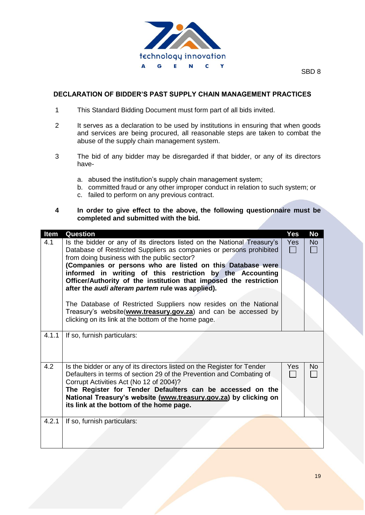

#### **DECLARATION OF BIDDER'S PAST SUPPLY CHAIN MANAGEMENT PRACTICES**

- 1 This Standard Bidding Document must form part of all bids invited.
- 2 It serves as a declaration to be used by institutions in ensuring that when goods and services are being procured, all reasonable steps are taken to combat the abuse of the supply chain management system.
- 3 The bid of any bidder may be disregarded if that bidder, or any of its directors have
	- a. abused the institution's supply chain management system;
	- b. committed fraud or any other improper conduct in relation to such system; or
	- c. failed to perform on any previous contract.
- **4 In order to give effect to the above, the following questionnaire must be completed and submitted with the bid.**

| Item  | Question                                                                | Yes          | <b>No</b> |
|-------|-------------------------------------------------------------------------|--------------|-----------|
| 4.1   | Is the bidder or any of its directors listed on the National Treasury's | <b>Yes</b>   | No        |
|       | Database of Restricted Suppliers as companies or persons prohibited     | $\mathsf{L}$ |           |
|       | from doing business with the public sector?                             |              |           |
|       | (Companies or persons who are listed on this Database were              |              |           |
|       | informed in writing of this restriction by the Accounting               |              |           |
|       | Officer/Authority of the institution that imposed the restriction       |              |           |
|       | after the audi alteram partem rule was applied).                        |              |           |
|       |                                                                         |              |           |
|       | The Database of Restricted Suppliers now resides on the National        |              |           |
|       | Treasury's website(www.treasury.gov.za) and can be accessed by          |              |           |
|       | clicking on its link at the bottom of the home page.                    |              |           |
|       |                                                                         |              |           |
| 4.1.1 | If so, furnish particulars:                                             |              |           |
|       |                                                                         |              |           |
|       |                                                                         |              |           |
|       |                                                                         |              |           |
| 4.2   | Is the bidder or any of its directors listed on the Register for Tender | Yes          | No        |
|       | Defaulters in terms of section 29 of the Prevention and Combating of    |              |           |
|       | Corrupt Activities Act (No 12 of 2004)?                                 |              |           |
|       | The Register for Tender Defaulters can be accessed on the               |              |           |
|       | National Treasury's website (www.treasury.gov.za) by clicking on        |              |           |
|       | its link at the bottom of the home page.                                |              |           |
|       |                                                                         |              |           |
| 4.2.1 | If so, furnish particulars:                                             |              |           |
|       |                                                                         |              |           |
|       |                                                                         |              |           |
|       |                                                                         |              |           |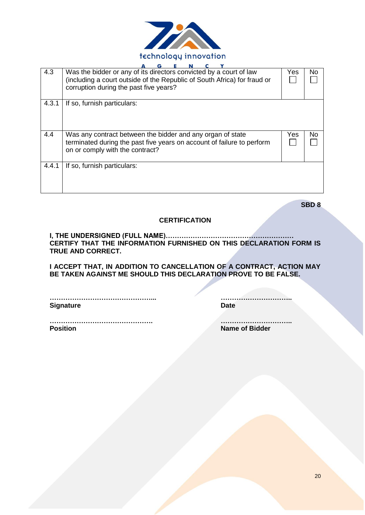

| 4.3   | Was the bidder or any of its directors convicted by a court of law       | Yes | No. |
|-------|--------------------------------------------------------------------------|-----|-----|
|       | (including a court outside of the Republic of South Africa) for fraud or |     |     |
|       |                                                                          |     |     |
|       | corruption during the past five years?                                   |     |     |
|       |                                                                          |     |     |
| 4.3.1 | If so, furnish particulars:                                              |     |     |
|       |                                                                          |     |     |
|       |                                                                          |     |     |
|       |                                                                          |     |     |
|       |                                                                          |     |     |
| 4.4   | Was any contract between the bidder and any organ of state               | Yes | No. |
|       | terminated during the past five years on account of failure to perform   |     |     |
|       |                                                                          |     |     |
|       | on or comply with the contract?                                          |     |     |
|       |                                                                          |     |     |
| 4.4.1 | If so, furnish particulars:                                              |     |     |
|       |                                                                          |     |     |
|       |                                                                          |     |     |
|       |                                                                          |     |     |
|       |                                                                          |     |     |

# **CERTIFICATION**

**I, THE UNDERSIGNED (FULL NAME)………………………………………………… CERTIFY THAT THE INFORMATION FURNISHED ON THIS DECLARATION FORM IS TRUE AND CORRECT.**

**I ACCEPT THAT, IN ADDITION TO CANCELLATION OF A CONTRACT, ACTION MAY BE TAKEN AGAINST ME SHOULD THIS DECLARATION PROVE TO BE FALSE.**

**………………………………………... ………………………….. Signature Date** 

**………………………………………. ………………………….. Position Name of Bidder**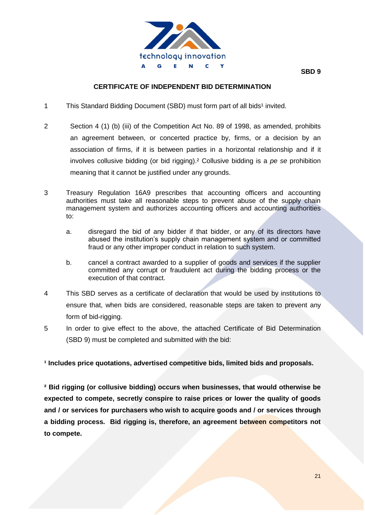

## **CERTIFICATE OF INDEPENDENT BID DETERMINATION**

- 1 This Standard Bidding Document (SBD) must form part of all bids<sup>1</sup> invited.
- 2 Section 4 (1) (b) (iii) of the Competition Act No. 89 of 1998, as amended, prohibits an agreement between, or concerted practice by, firms, or a decision by an association of firms, if it is between parties in a horizontal relationship and if it involves collusive bidding (or bid rigging).² Collusive bidding is a *pe se* prohibition meaning that it cannot be justified under any grounds.
- 3 Treasury Regulation 16A9 prescribes that accounting officers and accounting authorities must take all reasonable steps to prevent abuse of the supply chain management system and authorizes accounting officers and accounting authorities to:
	- a. disregard the bid of any bidder if that bidder, or any of its directors have abused the institution's supply chain management system and or committed fraud or any other improper conduct in relation to such system.
	- b. cancel a contract awarded to a supplier of goods and services if the supplier committed any corrupt or fraudulent act during the bidding process or the execution of that contract.
- 4 This SBD serves as a certificate of declaration that would be used by institutions to ensure that, when bids are considered, reasonable steps are taken to prevent any form of bid-rigging.
- 5 In order to give effect to the above, the attached Certificate of Bid Determination (SBD 9) must be completed and submitted with the bid:

<sup>1</sup> Includes price quotations, advertised competitive bids, limited bids and proposals.

**² Bid rigging (or collusive bidding) occurs when businesses, that would otherwise be expected to compete, secretly conspire to raise prices or lower the quality of goods and / or services for purchasers who wish to acquire goods and / or services through a bidding process. Bid rigging is, therefore, an agreement between competitors not to compete.**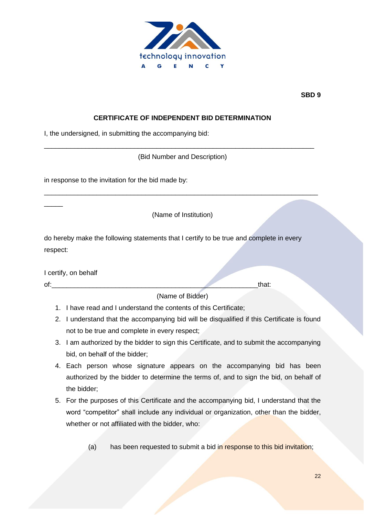

# **CERTIFICATE OF INDEPENDENT BID DETERMINATION**

I, the undersigned, in submitting the accompanying bid:

(Bid Number and Description)

\_\_\_\_\_\_\_\_\_\_\_\_\_\_\_\_\_\_\_\_\_\_\_\_\_\_\_\_\_\_\_\_\_\_\_\_\_\_\_\_\_\_\_\_\_\_\_\_\_\_\_\_\_\_\_\_\_\_\_\_\_\_\_\_\_\_\_\_\_\_\_\_

in response to the invitation for the bid made by:

(Name of Institution)

\_\_\_\_\_\_\_\_\_\_\_\_\_\_\_\_\_\_\_\_\_\_\_\_\_\_\_\_\_\_\_\_\_\_\_\_\_\_\_\_\_\_\_\_\_\_\_\_\_\_\_\_\_\_\_\_\_\_\_\_\_\_\_\_\_\_\_\_\_\_\_\_\_

do hereby make the following statements that I certify to be true and complete in every respect:

I certify, on behalf

of: that:

 $\overline{\phantom{a}}$ 

(Name of Bidder)

- 1. I have read and I understand the contents of this Certificate;
- 2. I understand that the accompanying bid will be disqualified if this Certificate is found not to be true and complete in every respect;
- 3. I am authorized by the bidder to sign this Certificate, and to submit the accompanying bid, on behalf of the bidder;
- 4. Each person whose signature appears on the accompanying bid has been authorized by the bidder to determine the terms of, and to sign the bid, on behalf of the bidder;
- 5. For the purposes of this Certificate and the accompanying bid, I understand that the word "competitor" shall include any individual or organization, other than the bidder, whether or not affiliated with the bidder, who:
	- (a) has been requested to submit a bid in response to this bid invitation;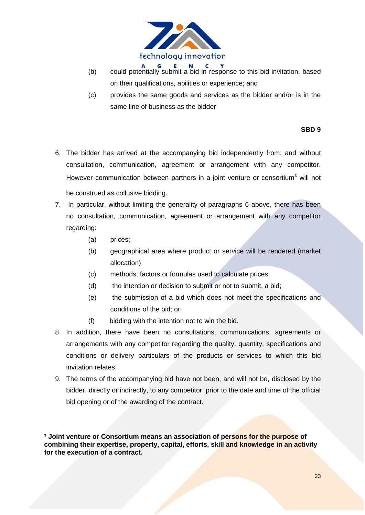

- (b) could potentially submit a bid in response to this bid invitation, based on their qualifications, abilities or experience; and
- (c) provides the same goods and services as the bidder and/or is in the same line of business as the bidder

- 6. The bidder has arrived at the accompanying bid independently from, and without consultation, communication, agreement or arrangement with any competitor. However communication between partners in a joint venture or consortium<sup>3</sup> will not be construed as collusive bidding.
- 7. In particular, without limiting the generality of paragraphs 6 above, there has been no consultation, communication, agreement or arrangement with any competitor regarding:
	- (a) prices;
	- (b) geographical area where product or service will be rendered (market allocation)
	- (c) methods, factors or formulas used to calculate prices;
	- (d) the intention or decision to submit or not to submit, a bid;
	- (e) the submission of a bid which does not meet the specifications and conditions of the bid; or
	- (f) bidding with the intention not to win the bid.
- 8. In addition, there have been no consultations, communications, agreements or arrangements with any competitor regarding the quality, quantity, specifications and conditions or delivery particulars of the products or services to which this bid invitation relates.
- 9. The terms of the accompanying bid have not been, and will not be, disclosed by the bidder, directly or indirectly, to any competitor, prior to the date and time of the official bid opening or of the awarding of the contract.

**³ Joint venture or Consortium means an association of persons for the purpose of combining their expertise, property, capital, efforts, skill and knowledge in an activity for the execution of a contract.**